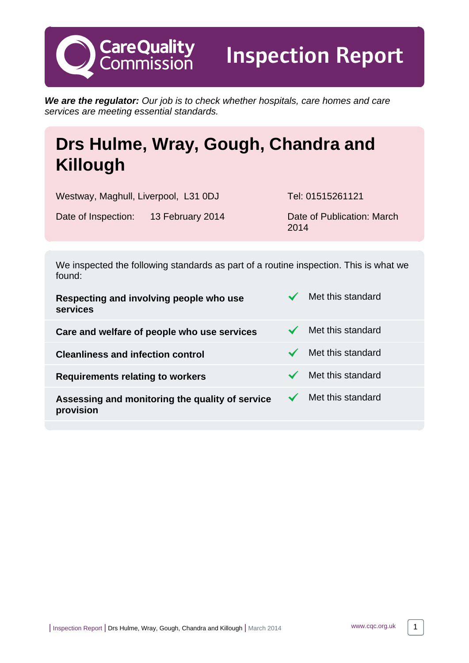**We are the regulator:** Our job is to check whether hospitals, care homes and care services are meeting essential standards.

# **Drs Hulme, Wray, Gough, Chandra and Killough**

Westway, Maghull, Liverpool, L31 0DJ Tel: 01515261121

**CareQuality**<br>Commission

Inspection Report

Date of Inspection: 13 February 2014 Date of Publication: March

2014

We inspected the following standards as part of a routine inspection. This is what we found:

| Respecting and involving people who use<br>services          | Met this standard |
|--------------------------------------------------------------|-------------------|
| Care and welfare of people who use services                  | Met this standard |
| <b>Cleanliness and infection control</b>                     | Met this standard |
| Requirements relating to workers                             | Met this standard |
| Assessing and monitoring the quality of service<br>provision | Met this standard |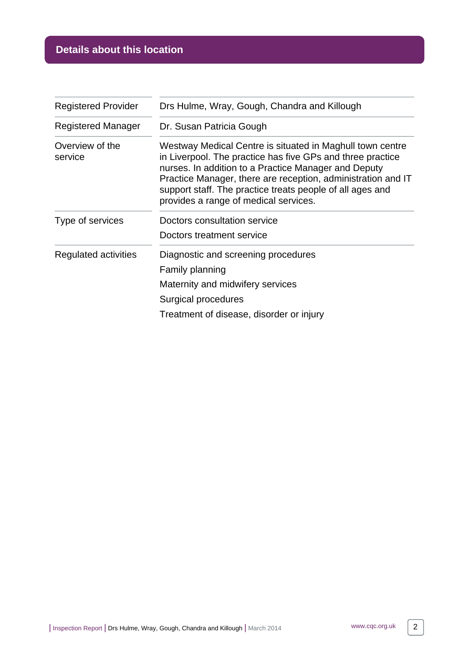# **Details about this location**

| <b>Registered Provider</b> | Drs Hulme, Wray, Gough, Chandra and Killough                                                                                                                                                                                                                                                                                                          |  |
|----------------------------|-------------------------------------------------------------------------------------------------------------------------------------------------------------------------------------------------------------------------------------------------------------------------------------------------------------------------------------------------------|--|
| <b>Registered Manager</b>  | Dr. Susan Patricia Gough                                                                                                                                                                                                                                                                                                                              |  |
| Overview of the<br>service | Westway Medical Centre is situated in Maghull town centre<br>in Liverpool. The practice has five GPs and three practice<br>nurses. In addition to a Practice Manager and Deputy<br>Practice Manager, there are reception, administration and IT<br>support staff. The practice treats people of all ages and<br>provides a range of medical services. |  |
| Type of services           | Doctors consultation service                                                                                                                                                                                                                                                                                                                          |  |
|                            | Doctors treatment service                                                                                                                                                                                                                                                                                                                             |  |
| Regulated activities       | Diagnostic and screening procedures                                                                                                                                                                                                                                                                                                                   |  |
|                            | Family planning                                                                                                                                                                                                                                                                                                                                       |  |
|                            | Maternity and midwifery services                                                                                                                                                                                                                                                                                                                      |  |
|                            | Surgical procedures                                                                                                                                                                                                                                                                                                                                   |  |
|                            | Treatment of disease, disorder or injury                                                                                                                                                                                                                                                                                                              |  |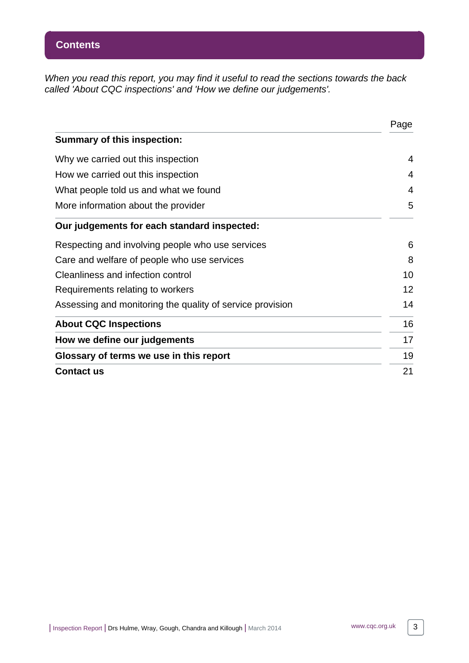When you read this report, you may find it useful to read the sections towards the back called 'About CQC inspections' and 'How we define our judgements'.

|                                                           | Page |
|-----------------------------------------------------------|------|
| <b>Summary of this inspection:</b>                        |      |
| Why we carried out this inspection                        | 4    |
| How we carried out this inspection                        | 4    |
| What people told us and what we found                     | 4    |
| More information about the provider                       | 5    |
| Our judgements for each standard inspected:               |      |
| Respecting and involving people who use services          | 6    |
| Care and welfare of people who use services               | 8    |
| Cleanliness and infection control                         | 10   |
| Requirements relating to workers                          | 12   |
| Assessing and monitoring the quality of service provision | 14   |
| <b>About CQC Inspections</b>                              | 16   |
| How we define our judgements                              | 17   |
| Glossary of terms we use in this report                   | 19   |
| <b>Contact us</b>                                         | 21   |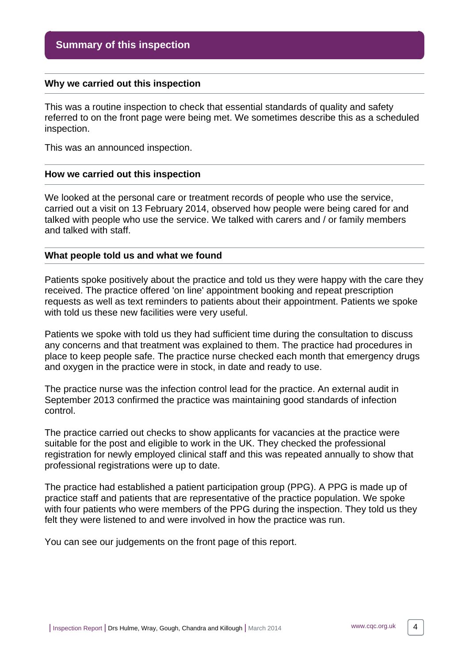#### <span id="page-3-0"></span>**Why we carried out this inspection**

This was a routine inspection to check that essential standards of quality and safety referred to on the front page were being met. We sometimes describe this as a scheduled inspection.

This was an announced inspection.

#### <span id="page-3-1"></span>**How we carried out this inspection**

We looked at the personal care or treatment records of people who use the service, carried out a visit on 13 February 2014, observed how people were being cared for and talked with people who use the service. We talked with carers and / or family members and talked with staff.

#### <span id="page-3-2"></span>**What people told us and what we found**

Patients spoke positively about the practice and told us they were happy with the care they received. The practice offered 'on line' appointment booking and repeat prescription requests as well as text reminders to patients about their appointment. Patients we spoke with told us these new facilities were very useful.

Patients we spoke with told us they had sufficient time during the consultation to discuss any concerns and that treatment was explained to them. The practice had procedures in place to keep people safe. The practice nurse checked each month that emergency drugs and oxygen in the practice were in stock, in date and ready to use.

The practice nurse was the infection control lead for the practice. An external audit in September 2013 confirmed the practice was maintaining good standards of infection control.

The practice carried out checks to show applicants for vacancies at the practice were suitable for the post and eligible to work in the UK. They checked the professional registration for newly employed clinical staff and this was repeated annually to show that professional registrations were up to date.

The practice had established a patient participation group (PPG). A PPG is made up of practice staff and patients that are representative of the practice population. We spoke with four patients who were members of the PPG during the inspection. They told us they felt they were listened to and were involved in how the practice was run.

You can see our judgements on the front page of this report.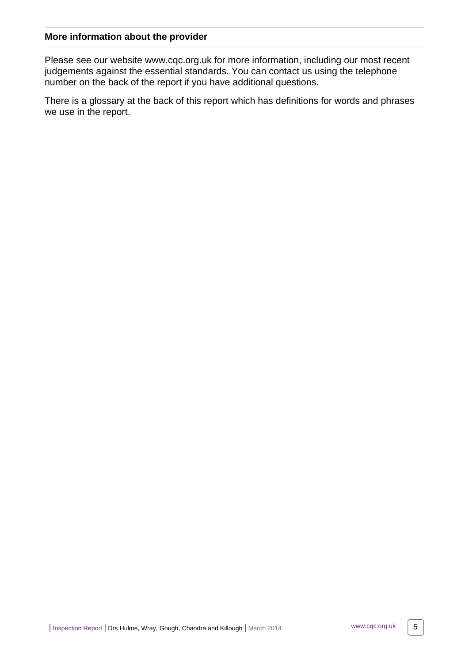#### <span id="page-4-0"></span>**More information about the provider**

Please see our website www.cqc.org.uk for more information, including our most recent judgements against the essential standards. You can contact us using the telephone number on the back of the report if you have additional questions.

There is a glossary at the back of this report which has definitions for words and phrases we use in the report.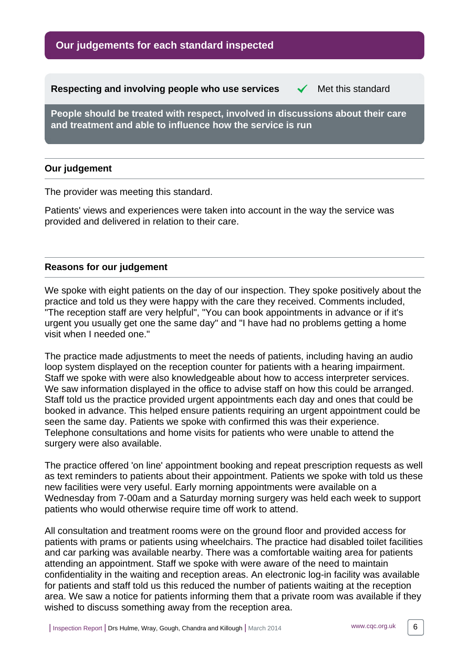**Our judgements for each standard inspected**

<span id="page-5-0"></span>**Respecting and involving people who use services**  $\checkmark$  **Met this standard** 

**People should be treated with respect, involved in discussions about their care and treatment and able to influence how the service is run**

## **Our judgement**

The provider was meeting this standard.

Patients' views and experiences were taken into account in the way the service was provided and delivered in relation to their care.

#### **Reasons for our judgement**

We spoke with eight patients on the day of our inspection. They spoke positively about the practice and told us they were happy with the care they received. Comments included, "The reception staff are very helpful", "You can book appointments in advance or if it's urgent you usually get one the same day" and "I have had no problems getting a home visit when I needed one."

The practice made adjustments to meet the needs of patients, including having an audio loop system displayed on the reception counter for patients with a hearing impairment. Staff we spoke with were also knowledgeable about how to access interpreter services. We saw information displayed in the office to advise staff on how this could be arranged. Staff told us the practice provided urgent appointments each day and ones that could be booked in advance. This helped ensure patients requiring an urgent appointment could be seen the same day. Patients we spoke with confirmed this was their experience. Telephone consultations and home visits for patients who were unable to attend the surgery were also available.

The practice offered 'on line' appointment booking and repeat prescription requests as well as text reminders to patients about their appointment. Patients we spoke with told us these new facilities were very useful. Early morning appointments were available on a Wednesday from 7-00am and a Saturday morning surgery was held each week to support patients who would otherwise require time off work to attend.

All consultation and treatment rooms were on the ground floor and provided access for patients with prams or patients using wheelchairs. The practice had disabled toilet facilities and car parking was available nearby. There was a comfortable waiting area for patients attending an appointment. Staff we spoke with were aware of the need to maintain confidentiality in the waiting and reception areas. An electronic log-in facility was available for patients and staff told us this reduced the number of patients waiting at the reception area. We saw a notice for patients informing them that a private room was available if they wished to discuss something away from the reception area.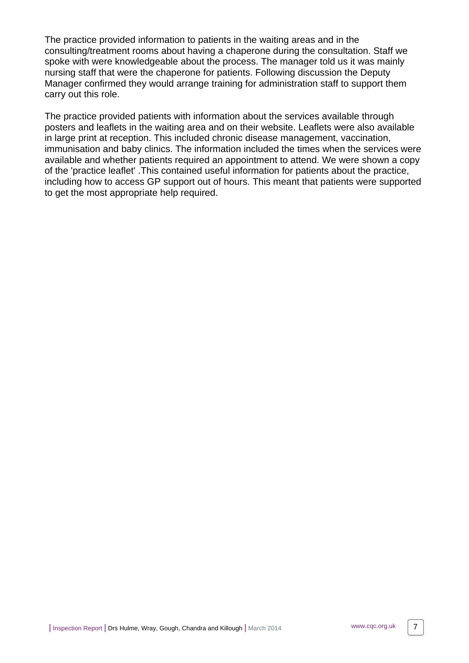The practice provided information to patients in the waiting areas and in the consulting/treatment rooms about having a chaperone during the consultation. Staff we spoke with were knowledgeable about the process. The manager told us it was mainly nursing staff that were the chaperone for patients. Following discussion the Deputy Manager confirmed they would arrange training for administration staff to support them carry out this role.

The practice provided patients with information about the services available through posters and leaflets in the waiting area and on their website. Leaflets were also available in large print at reception. This included chronic disease management, vaccination, immunisation and baby clinics. The information included the times when the services were available and whether patients required an appointment to attend. We were shown a copy of the 'practice leaflet' .This contained useful information for patients about the practice, including how to access GP support out of hours. This meant that patients were supported to get the most appropriate help required.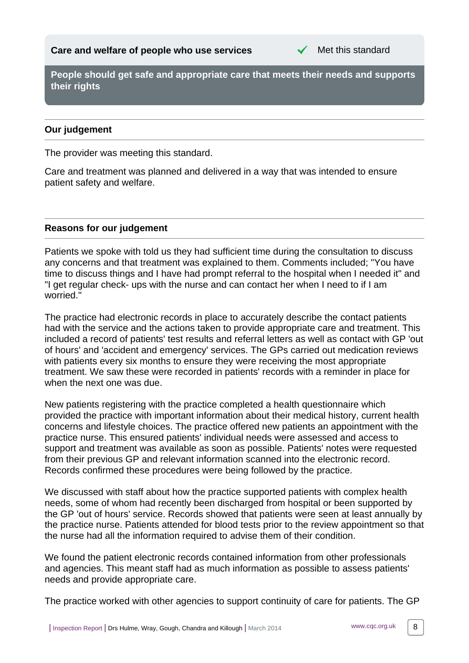

<span id="page-7-0"></span>**People should get safe and appropriate care that meets their needs and supports their rights**

# **Our judgement**

The provider was meeting this standard.

Care and treatment was planned and delivered in a way that was intended to ensure patient safety and welfare.

## **Reasons for our judgement**

Patients we spoke with told us they had sufficient time during the consultation to discuss any concerns and that treatment was explained to them. Comments included; "You have time to discuss things and I have had prompt referral to the hospital when I needed it" and "I get regular check- ups with the nurse and can contact her when I need to if I am worried."

The practice had electronic records in place to accurately describe the contact patients had with the service and the actions taken to provide appropriate care and treatment. This included a record of patients' test results and referral letters as well as contact with GP 'out of hours' and 'accident and emergency' services. The GPs carried out medication reviews with patients every six months to ensure they were receiving the most appropriate treatment. We saw these were recorded in patients' records with a reminder in place for when the next one was due.

New patients registering with the practice completed a health questionnaire which provided the practice with important information about their medical history, current health concerns and lifestyle choices. The practice offered new patients an appointment with the practice nurse. This ensured patients' individual needs were assessed and access to support and treatment was available as soon as possible. Patients' notes were requested from their previous GP and relevant information scanned into the electronic record. Records confirmed these procedures were being followed by the practice.

We discussed with staff about how the practice supported patients with complex health needs, some of whom had recently been discharged from hospital or been supported by the GP 'out of hours' service. Records showed that patients were seen at least annually by the practice nurse. Patients attended for blood tests prior to the review appointment so that the nurse had all the information required to advise them of their condition.

We found the patient electronic records contained information from other professionals and agencies. This meant staff had as much information as possible to assess patients' needs and provide appropriate care.

The practice worked with other agencies to support continuity of care for patients. The GP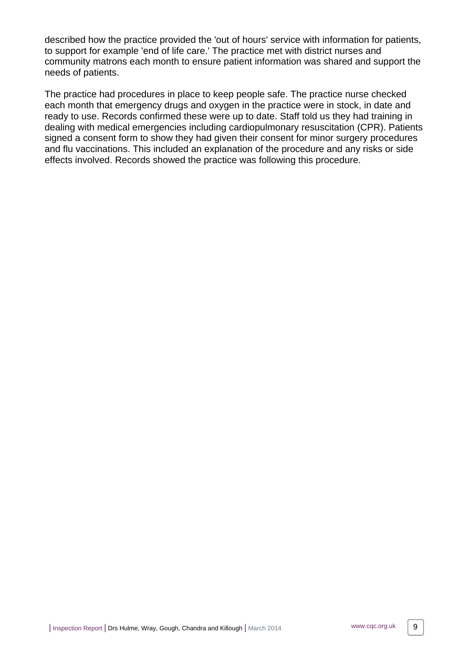described how the practice provided the 'out of hours' service with information for patients, to support for example 'end of life care.' The practice met with district nurses and community matrons each month to ensure patient information was shared and support the needs of patients.

The practice had procedures in place to keep people safe. The practice nurse checked each month that emergency drugs and oxygen in the practice were in stock, in date and ready to use. Records confirmed these were up to date. Staff told us they had training in dealing with medical emergencies including cardiopulmonary resuscitation (CPR). Patients signed a consent form to show they had given their consent for minor surgery procedures and flu vaccinations. This included an explanation of the procedure and any risks or side effects involved. Records showed the practice was following this procedure.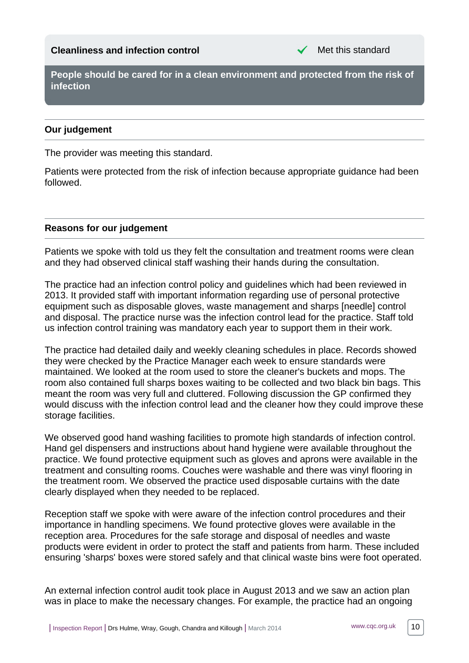#### <span id="page-9-0"></span>**Cleanliness and infection control Cleanliness and infection control**

**People should be cared for in a clean environment and protected from the risk of infection**

#### **Our judgement**

The provider was meeting this standard.

Patients were protected from the risk of infection because appropriate guidance had been followed.

#### **Reasons for our judgement**

Patients we spoke with told us they felt the consultation and treatment rooms were clean and they had observed clinical staff washing their hands during the consultation.

The practice had an infection control policy and guidelines which had been reviewed in 2013. It provided staff with important information regarding use of personal protective equipment such as disposable gloves, waste management and sharps [needle] control and disposal. The practice nurse was the infection control lead for the practice. Staff told us infection control training was mandatory each year to support them in their work.

The practice had detailed daily and weekly cleaning schedules in place. Records showed they were checked by the Practice Manager each week to ensure standards were maintained. We looked at the room used to store the cleaner's buckets and mops. The room also contained full sharps boxes waiting to be collected and two black bin bags. This meant the room was very full and cluttered. Following discussion the GP confirmed they would discuss with the infection control lead and the cleaner how they could improve these storage facilities.

We observed good hand washing facilities to promote high standards of infection control. Hand gel dispensers and instructions about hand hygiene were available throughout the practice. We found protective equipment such as gloves and aprons were available in the treatment and consulting rooms. Couches were washable and there was vinyl flooring in the treatment room. We observed the practice used disposable curtains with the date clearly displayed when they needed to be replaced.

Reception staff we spoke with were aware of the infection control procedures and their importance in handling specimens. We found protective gloves were available in the reception area. Procedures for the safe storage and disposal of needles and waste products were evident in order to protect the staff and patients from harm. These included ensuring 'sharps' boxes were stored safely and that clinical waste bins were foot operated.

An external infection control audit took place in August 2013 and we saw an action plan was in place to make the necessary changes. For example, the practice had an ongoing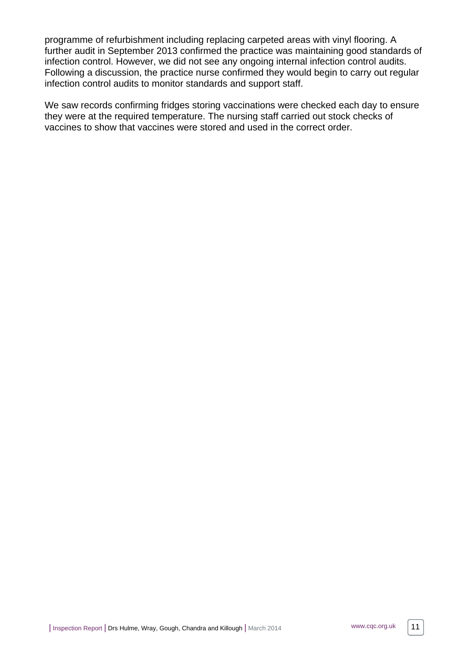programme of refurbishment including replacing carpeted areas with vinyl flooring. A further audit in September 2013 confirmed the practice was maintaining good standards of infection control. However, we did not see any ongoing internal infection control audits. Following a discussion, the practice nurse confirmed they would begin to carry out regular infection control audits to monitor standards and support staff.

We saw records confirming fridges storing vaccinations were checked each day to ensure they were at the required temperature. The nursing staff carried out stock checks of vaccines to show that vaccines were stored and used in the correct order.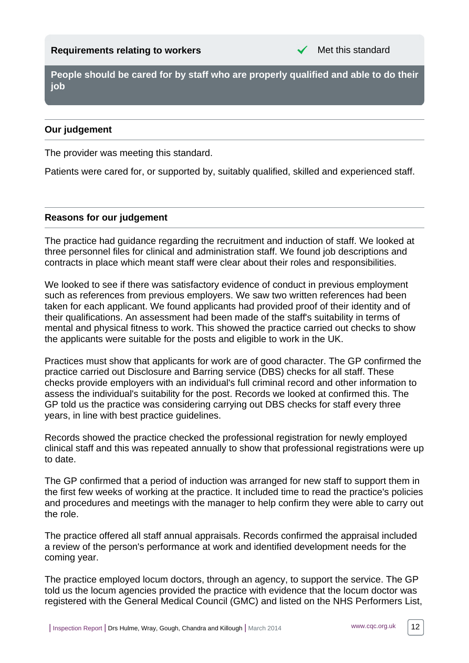<span id="page-11-0"></span>**People should be cared for by staff who are properly qualified and able to do their job**

# **Our judgement**

The provider was meeting this standard.

Patients were cared for, or supported by, suitably qualified, skilled and experienced staff.

#### **Reasons for our judgement**

The practice had guidance regarding the recruitment and induction of staff. We looked at three personnel files for clinical and administration staff. We found job descriptions and contracts in place which meant staff were clear about their roles and responsibilities.

We looked to see if there was satisfactory evidence of conduct in previous employment such as references from previous employers. We saw two written references had been taken for each applicant. We found applicants had provided proof of their identity and of their qualifications. An assessment had been made of the staff's suitability in terms of mental and physical fitness to work. This showed the practice carried out checks to show the applicants were suitable for the posts and eligible to work in the UK.

Practices must show that applicants for work are of good character. The GP confirmed the practice carried out Disclosure and Barring service (DBS) checks for all staff. These checks provide employers with an individual's full criminal record and other information to assess the individual's suitability for the post. Records we looked at confirmed this. The GP told us the practice was considering carrying out DBS checks for staff every three years, in line with best practice guidelines.

Records showed the practice checked the professional registration for newly employed clinical staff and this was repeated annually to show that professional registrations were up to date.

The GP confirmed that a period of induction was arranged for new staff to support them in the first few weeks of working at the practice. It included time to read the practice's policies and procedures and meetings with the manager to help confirm they were able to carry out the role.

The practice offered all staff annual appraisals. Records confirmed the appraisal included a review of the person's performance at work and identified development needs for the coming year.

The practice employed locum doctors, through an agency, to support the service. The GP told us the locum agencies provided the practice with evidence that the locum doctor was registered with the General Medical Council (GMC) and listed on the NHS Performers List,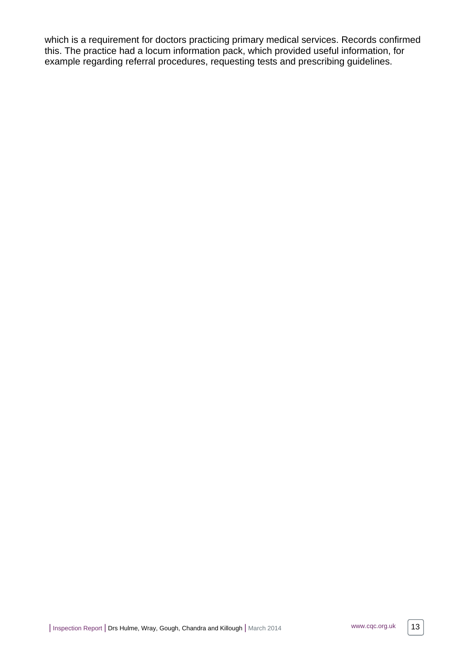which is a requirement for doctors practicing primary medical services. Records confirmed this. The practice had a locum information pack, which provided useful information, for example regarding referral procedures, requesting tests and prescribing guidelines.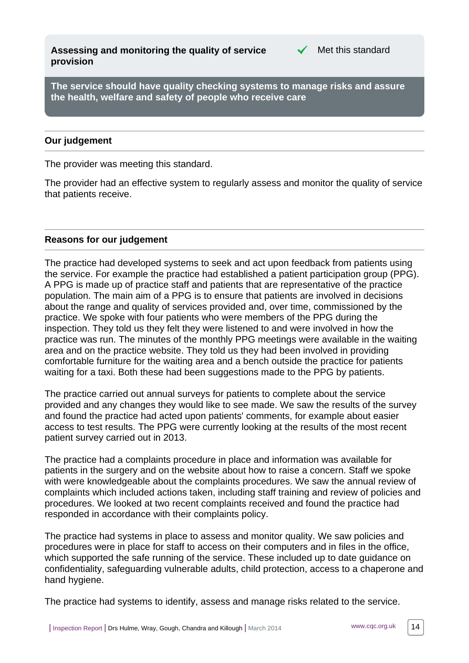<span id="page-13-0"></span>**Assessing and monitoring the quality of service provision**



**The service should have quality checking systems to manage risks and assure the health, welfare and safety of people who receive care**

#### **Our judgement**

The provider was meeting this standard.

The provider had an effective system to regularly assess and monitor the quality of service that patients receive.

#### **Reasons for our judgement**

The practice had developed systems to seek and act upon feedback from patients using the service. For example the practice had established a patient participation group (PPG). A PPG is made up of practice staff and patients that are representative of the practice population. The main aim of a PPG is to ensure that patients are involved in decisions about the range and quality of services provided and, over time, commissioned by the practice. We spoke with four patients who were members of the PPG during the inspection. They told us they felt they were listened to and were involved in how the practice was run. The minutes of the monthly PPG meetings were available in the waiting area and on the practice website. They told us they had been involved in providing comfortable furniture for the waiting area and a bench outside the practice for patients waiting for a taxi. Both these had been suggestions made to the PPG by patients.

The practice carried out annual surveys for patients to complete about the service provided and any changes they would like to see made. We saw the results of the survey and found the practice had acted upon patients' comments, for example about easier access to test results. The PPG were currently looking at the results of the most recent patient survey carried out in 2013.

The practice had a complaints procedure in place and information was available for patients in the surgery and on the website about how to raise a concern. Staff we spoke with were knowledgeable about the complaints procedures. We saw the annual review of complaints which included actions taken, including staff training and review of policies and procedures. We looked at two recent complaints received and found the practice had responded in accordance with their complaints policy.

The practice had systems in place to assess and monitor quality. We saw policies and procedures were in place for staff to access on their computers and in files in the office, which supported the safe running of the service. These included up to date guidance on confidentiality, safeguarding vulnerable adults, child protection, access to a chaperone and hand hygiene.

The practice had systems to identify, assess and manage risks related to the service.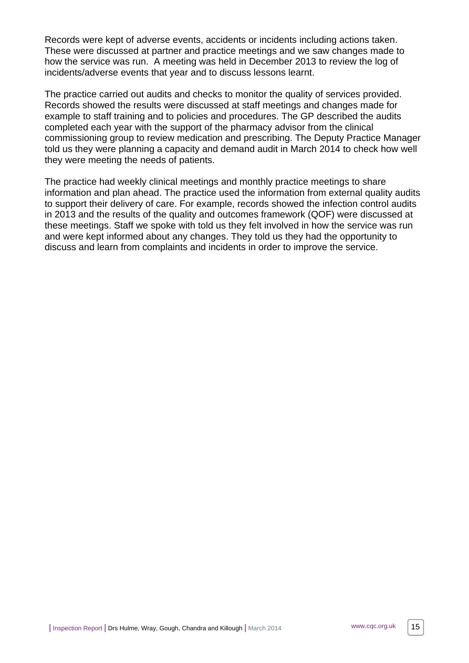Records were kept of adverse events, accidents or incidents including actions taken. These were discussed at partner and practice meetings and we saw changes made to how the service was run. A meeting was held in December 2013 to review the log of incidents/adverse events that year and to discuss lessons learnt.

The practice carried out audits and checks to monitor the quality of services provided. Records showed the results were discussed at staff meetings and changes made for example to staff training and to policies and procedures. The GP described the audits completed each year with the support of the pharmacy advisor from the clinical commissioning group to review medication and prescribing. The Deputy Practice Manager told us they were planning a capacity and demand audit in March 2014 to check how well they were meeting the needs of patients.

The practice had weekly clinical meetings and monthly practice meetings to share information and plan ahead. The practice used the information from external quality audits to support their delivery of care. For example, records showed the infection control audits in 2013 and the results of the quality and outcomes framework (QOF) were discussed at these meetings. Staff we spoke with told us they felt involved in how the service was run and were kept informed about any changes. They told us they had the opportunity to discuss and learn from complaints and incidents in order to improve the service.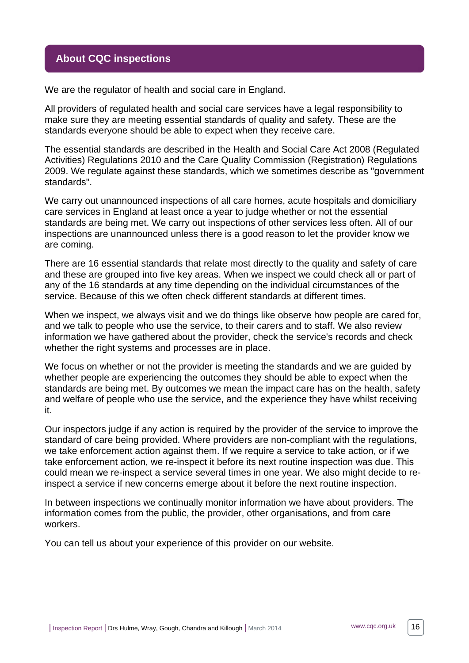# <span id="page-15-0"></span>**About CQC inspections**

We are the regulator of health and social care in England.

All providers of regulated health and social care services have a legal responsibility to make sure they are meeting essential standards of quality and safety. These are the standards everyone should be able to expect when they receive care.

The essential standards are described in the Health and Social Care Act 2008 (Regulated Activities) Regulations 2010 and the Care Quality Commission (Registration) Regulations 2009. We regulate against these standards, which we sometimes describe as "government standards".

We carry out unannounced inspections of all care homes, acute hospitals and domiciliary care services in England at least once a year to judge whether or not the essential standards are being met. We carry out inspections of other services less often. All of our inspections are unannounced unless there is a good reason to let the provider know we are coming.

There are 16 essential standards that relate most directly to the quality and safety of care and these are grouped into five key areas. When we inspect we could check all or part of any of the 16 standards at any time depending on the individual circumstances of the service. Because of this we often check different standards at different times.

When we inspect, we always visit and we do things like observe how people are cared for, and we talk to people who use the service, to their carers and to staff. We also review information we have gathered about the provider, check the service's records and check whether the right systems and processes are in place.

We focus on whether or not the provider is meeting the standards and we are guided by whether people are experiencing the outcomes they should be able to expect when the standards are being met. By outcomes we mean the impact care has on the health, safety and welfare of people who use the service, and the experience they have whilst receiving it.

Our inspectors judge if any action is required by the provider of the service to improve the standard of care being provided. Where providers are non-compliant with the regulations, we take enforcement action against them. If we require a service to take action, or if we take enforcement action, we re-inspect it before its next routine inspection was due. This could mean we re-inspect a service several times in one year. We also might decide to reinspect a service if new concerns emerge about it before the next routine inspection.

In between inspections we continually monitor information we have about providers. The information comes from the public, the provider, other organisations, and from care workers.

You can tell us about your experience of this provider on our website.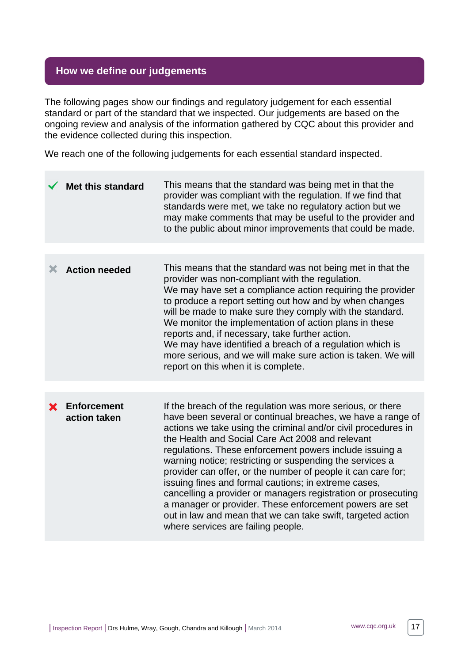# <span id="page-16-0"></span>**How we define our judgements**

The following pages show our findings and regulatory judgement for each essential standard or part of the standard that we inspected. Our judgements are based on the ongoing review and analysis of the information gathered by CQC about this provider and the evidence collected during this inspection.

We reach one of the following judgements for each essential standard inspected.

|   | <b>Met this standard</b>           | This means that the standard was being met in that the<br>provider was compliant with the regulation. If we find that<br>standards were met, we take no regulatory action but we<br>may make comments that may be useful to the provider and<br>to the public about minor improvements that could be made.                                                                                                                                                                                                                                                                                                                                                                                                                     |
|---|------------------------------------|--------------------------------------------------------------------------------------------------------------------------------------------------------------------------------------------------------------------------------------------------------------------------------------------------------------------------------------------------------------------------------------------------------------------------------------------------------------------------------------------------------------------------------------------------------------------------------------------------------------------------------------------------------------------------------------------------------------------------------|
|   |                                    |                                                                                                                                                                                                                                                                                                                                                                                                                                                                                                                                                                                                                                                                                                                                |
| Х | <b>Action needed</b>               | This means that the standard was not being met in that the<br>provider was non-compliant with the regulation.<br>We may have set a compliance action requiring the provider<br>to produce a report setting out how and by when changes<br>will be made to make sure they comply with the standard.<br>We monitor the implementation of action plans in these<br>reports and, if necessary, take further action.<br>We may have identified a breach of a regulation which is<br>more serious, and we will make sure action is taken. We will<br>report on this when it is complete.                                                                                                                                             |
|   |                                    |                                                                                                                                                                                                                                                                                                                                                                                                                                                                                                                                                                                                                                                                                                                                |
|   | <b>Enforcement</b><br>action taken | If the breach of the regulation was more serious, or there<br>have been several or continual breaches, we have a range of<br>actions we take using the criminal and/or civil procedures in<br>the Health and Social Care Act 2008 and relevant<br>regulations. These enforcement powers include issuing a<br>warning notice; restricting or suspending the services a<br>provider can offer, or the number of people it can care for;<br>issuing fines and formal cautions; in extreme cases,<br>cancelling a provider or managers registration or prosecuting<br>a manager or provider. These enforcement powers are set<br>out in law and mean that we can take swift, targeted action<br>where services are failing people. |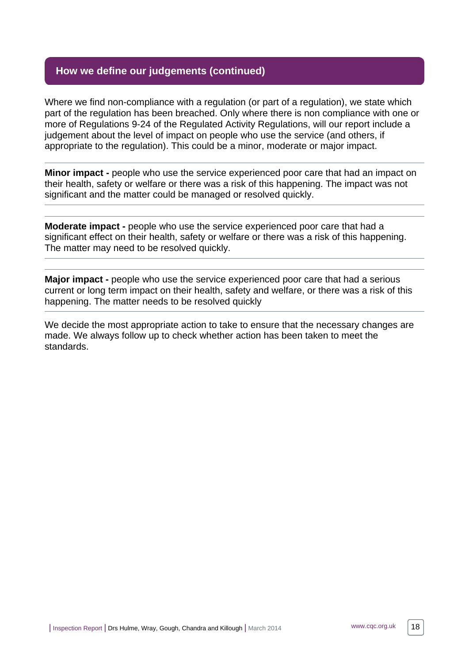# **How we define our judgements (continued)**

Where we find non-compliance with a regulation (or part of a regulation), we state which part of the regulation has been breached. Only where there is non compliance with one or more of Regulations 9-24 of the Regulated Activity Regulations, will our report include a judgement about the level of impact on people who use the service (and others, if appropriate to the regulation). This could be a minor, moderate or major impact.

**Minor impact -** people who use the service experienced poor care that had an impact on their health, safety or welfare or there was a risk of this happening. The impact was not significant and the matter could be managed or resolved quickly.

**Moderate impact -** people who use the service experienced poor care that had a significant effect on their health, safety or welfare or there was a risk of this happening. The matter may need to be resolved quickly.

**Major impact -** people who use the service experienced poor care that had a serious current or long term impact on their health, safety and welfare, or there was a risk of this happening. The matter needs to be resolved quickly

We decide the most appropriate action to take to ensure that the necessary changes are made. We always follow up to check whether action has been taken to meet the standards.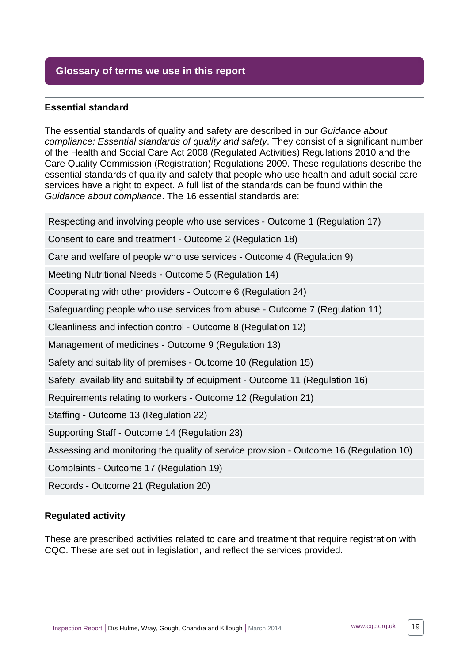# <span id="page-18-0"></span>**Glossary of terms we use in this report**

#### **Essential standard**

The essential standards of quality and safety are described in our Guidance about compliance: Essential standards of quality and safety. They consist of a significant number of the Health and Social Care Act 2008 (Regulated Activities) Regulations 2010 and the Care Quality Commission (Registration) Regulations 2009. These regulations describe the essential standards of quality and safety that people who use health and adult social care services have a right to expect. A full list of the standards can be found within the Guidance about compliance. The 16 essential standards are:

Respecting and involving people who use services - Outcome 1 (Regulation 17)

Consent to care and treatment - Outcome 2 (Regulation 18)

Care and welfare of people who use services - Outcome 4 (Regulation 9)

Meeting Nutritional Needs - Outcome 5 (Regulation 14)

Cooperating with other providers - Outcome 6 (Regulation 24)

Safeguarding people who use services from abuse - Outcome 7 (Regulation 11)

Cleanliness and infection control - Outcome 8 (Regulation 12)

Management of medicines - Outcome 9 (Regulation 13)

Safety and suitability of premises - Outcome 10 (Regulation 15)

Safety, availability and suitability of equipment - Outcome 11 (Regulation 16)

Requirements relating to workers - Outcome 12 (Regulation 21)

Staffing - Outcome 13 (Regulation 22)

Supporting Staff - Outcome 14 (Regulation 23)

Assessing and monitoring the quality of service provision - Outcome 16 (Regulation 10)

Complaints - Outcome 17 (Regulation 19)

Records - Outcome 21 (Regulation 20)

#### **Regulated activity**

These are prescribed activities related to care and treatment that require registration with CQC. These are set out in legislation, and reflect the services provided.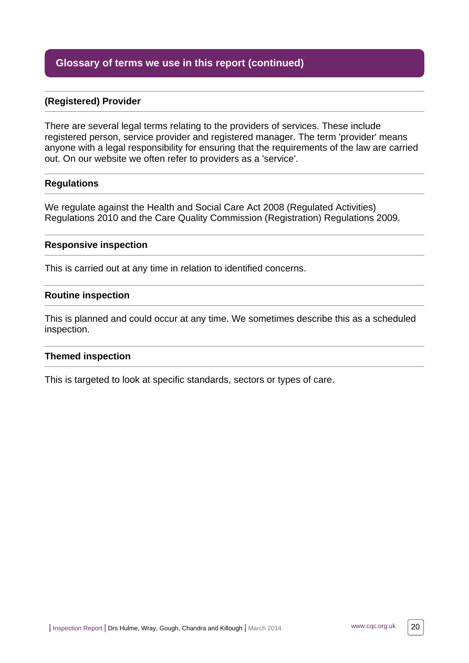# **Glossary of terms we use in this report (continued)**

#### **(Registered) Provider**

There are several legal terms relating to the providers of services. These include registered person, service provider and registered manager. The term 'provider' means anyone with a legal responsibility for ensuring that the requirements of the law are carried out. On our website we often refer to providers as a 'service'.

#### **Regulations**

We regulate against the Health and Social Care Act 2008 (Regulated Activities) Regulations 2010 and the Care Quality Commission (Registration) Regulations 2009.

#### **Responsive inspection**

This is carried out at any time in relation to identified concerns.

#### **Routine inspection**

This is planned and could occur at any time. We sometimes describe this as a scheduled inspection.

#### **Themed inspection**

This is targeted to look at specific standards, sectors or types of care.